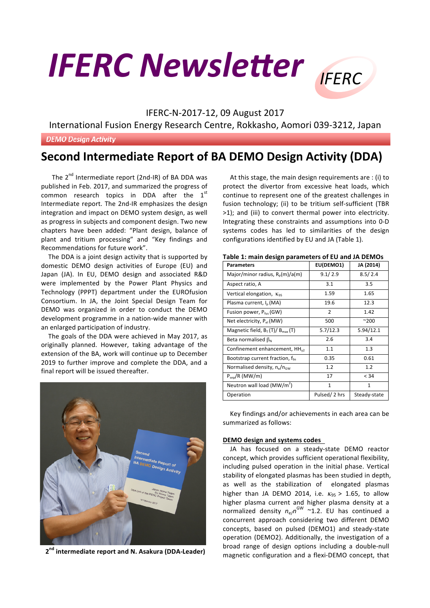# **IFERC Newsletter** IFFRC



### IFERC-N-2017-12, 09 August 2017

International Fusion Energy Research Centre, Rokkasho, Aomori 039-3212, Japan

**DEMO Design Activity** 

## **Second Intermediate Report of BA DEMO Design Activity (DDA)**

The  $2^{nd}$  Intermediate report (2nd-IR) of BA DDA was published in Feb. 2017, and summarized the progress of common research topics in DDA after the  $1<sup>st</sup>$ Intermediate report. The 2nd-IR emphasizes the design integration and impact on DEMO system design, as well as progress in subjects and component design. Two new chapters have been added: "Plant design, balance of plant and tritium processing" and "Key findings and Recommendations for future work".

The DDA is a joint design activity that is supported by domestic DEMO design activities of Europe (EU) and Japan (JA). In EU, DEMO design and associated R&D were implemented by the Power Plant Physics and Technology (PPPT) department under the EUROfusion Consortium. In JA, the Joint Special Design Team for DEMO was organized in order to conduct the DEMO development programme in a nation-wide manner with an enlarged participation of industry.

The goals of the DDA were achieved in May 2017, as originally planned. However, taking advantage of the extension of the BA, work will continue up to December 2019 to further improve and complete the DDA, and a final report will be issued thereafter.



**2nd intermediate report and N. Asakura (DDA-Leader)**

At this stage, the main design requirements are : (i) to protect the divertor from excessive heat loads, which continue to represent one of the greatest challenges in fusion technology; (ii) to be tritium self-sufficient (TBR >1); and (iii) to convert thermal power into electricity. Integrating these constraints and assumptions into 0-D systems codes has led to similarities of the design configurations identified by EU and JA (Table 1).

| <b>Parameters</b>                           | EU(DEMO1)    | JA (2014)    |
|---------------------------------------------|--------------|--------------|
| Major/minor radius, $R_p(m)/a(m)$           | 9.1 / 2.9    | 8.5/2.4      |
| Aspect ratio, A                             | 3.1          | 3.5          |
| Vertical elongation, $\kappa_{95}$          | 1.59         | 1.65         |
| Plasma current, I <sub>p</sub> (MA)         | 19.6         | 12.3         |
| Fusion power, $P_{fus}$ (GW)                | 2            | 1.42         |
| Net electricity, Pet (MW)                   | 500          | $^{\sim}200$ |
| Magnetic field, $B_T(T)/B_{max}(T)$         | 5.7/12.3     | 5.94/12.1    |
| Beta normalised $\beta_N$                   | 2.6          | 3.4          |
| Confinement enhancement, $HHv2$             | 1.1          | 1.3          |
| Bootstrap current fraction, $f_{\text{bs}}$ | 0.35         | 0.61         |
| Normalised density, $n_e/n_{\rm GW}$        | 1.2          | 1.2          |
| $P_{sep}/R$ (MW/m)                          | 17           | < 34         |
| Neutron wall load ( $MW/m2$ )               | 1            | 1            |
| Operation                                   | Pulsed/2 hrs | Steady-state |

|  | Table 1: main design parameters of EU and JA DEMOs |
|--|----------------------------------------------------|
|--|----------------------------------------------------|

Key findings and/or achievements in each area can be summarized as follows:

#### **DEMO** design and systems codes

JA has focused on a steady-state DEMO reactor concept, which provides sufficient operational flexibility, including pulsed operation in the initial phase. Vertical stability of elongated plasmas has been studied in depth, as well as the stabilization of elongated plasmas higher than JA DEMO 2014, i.e.  $\kappa_{95} > 1.65$ , to allow higher plasma current and higher plasma density at a normalized density  $n_e/n^{GW} \sim 1.2$ . EU has continued a concurrent approach considering two different DEMO concepts, based on pulsed (DEMO1) and steady-state operation (DEMO2). Additionally, the investigation of a broad range of design options including a double-null magnetic configuration and a flexi-DEMO concept, that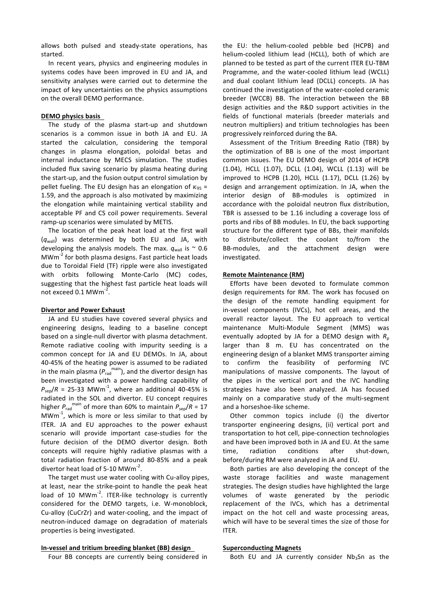allows both pulsed and steady-state operations, has started. 

In recent years, physics and engineering modules in systems codes have been improved in EU and JA, and sensitivity analyses were carried out to determine the impact of key uncertainties on the physics assumptions on the overall DEMO performance.

#### **DEMO** physics basis

The study of the plasma start-up and shutdown scenarios is a common issue in both JA and EU. JA started the calculation, considering the temporal changes in plasma elongation, poloidal betas and internal inductance by MECS simulation. The studies included flux saving scenario by plasma heating during the start-up, and the fusion output control simulation by pellet fueling. The EU design has an elongation of  $K_{95}$  = 1.59, and the approach is also motivated by maximizing the elongation while maintaining vertical stability and acceptable PF and CS coil power requirements. Several ramp-up scenarios were simulated by METIS.

The location of the peak heat load at the first wall  $(q_{wall})$  was determined by both EU and JA, with developing the analysis models. The max.  $q_{wall}$  is  $\sim$  0.6 MW $m<sup>-2</sup>$  for both plasma designs. Fast particle heat loads due to Toroidal Field (TF) ripple were also investigated with orbits following Monte-Carlo (MC) codes, suggesting that the highest fast particle heat loads will not exceed  $0.1$  MWm $^{-2}$ .

#### **Divertor and Power Exhaust**

JA and EU studies have covered several physics and engineering designs, leading to a baseline concept based on a single-null divertor with plasma detachment. Remote radiative cooling with impurity seeding is a common concept for JA and EU DEMOs. In JA, about 40-45% of the heating power is assumed to be radiated in the main plasma ( $P_{rad}^{main}$ ), and the divertor design has been investigated with a power handling capability of  $P_{\text{sep}}/R = 25$ -33 MWm<sup>-1</sup>, where an additional 40-45% is radiated in the SOL and divertor. EU concept requires higher  $P_{rad}^{main}$  of more than 60% to maintain  $P_{sen}/R = 17$  $MWm^{-1}$ , which is more or less similar to that used by ITER. JA and EU approaches to the power exhaust scenario will provide important case-studies for the future decision of the DEMO divertor design. Both concepts will require highly radiative plasmas with a total radiation fraction of around 80-85% and a peak divertor heat load of 5-10 MWm<sup>-2</sup>.

The target must use water cooling with Cu-alloy pipes, at least, near the strike-point to handle the peak heat load of 10 MWm<sup>-2</sup>. ITER-like technology is currently considered for the DEMO targets, i.e. W-monoblock, Cu-alloy (CuCrZr) and water-cooling, and the impact of neutron-induced damage on degradation of materials properties is being investigated.

#### **In-vessel and tritium breeding blanket (BB) design**

Four BB concepts are currently being considered in

the EU: the helium-cooled pebble bed (HCPB) and helium-cooled lithium lead (HCLL), both of which are planned to be tested as part of the current ITER EU-TBM Programme, and the water-cooled lithium lead (WCLL) and dual coolant lithium lead (DCLL) concepts. JA has continued the investigation of the water-cooled ceramic breeder (WCCB) BB. The interaction between the BB design activities and the R&D support activities in the fields of functional materials (breeder materials and neutron multipliers) and tritium technologies has been progressively reinforced during the BA.

Assessment of the Tritium Breeding Ratio (TBR) by the optimization of BB is one of the most important common issues. The EU DEMO design of 2014 of HCPB (1.04), HCLL (1.07), DCLL (1.04), WCLL (1.13) will be improved to HCPB (1.20), HCLL (1.17), DCLL (1.26) by design and arrangement optimization. In JA, when the interior design of BB-modules is optimized in accordance with the poloidal neutron flux distribution, TBR is assessed to be 1.16 including a coverage loss of ports and ribs of BB modules. In EU, the back supporting structure for the different type of BBs, their manifolds to distribute/collect the coolant to/from the BB-modules, and the attachment design were investigated. 

#### **Remote Maintenance (RM)**

Efforts have been devoted to formulate common design requirements for RM. The work has focused on the design of the remote handling equipment for in-vessel components (IVCs), hot cell areas, and the overall reactor layout. The EU approach to vertical maintenance Multi-Module Segment (MMS) was eventually adopted by JA for a DEMO design with  $R_p$ larger than 8 m. EU has concentrated on the engineering design of a blanket MMS transporter aiming to confirm the feasibility of performing IVC manipulations of massive components. The layout of the pipes in the vertical port and the IVC handling strategies have also been analyzed. JA has focused mainly on a comparative study of the multi-segment and a horseshoe-like scheme.

Other common topics include (i) the divertor transporter engineering designs, (ii) vertical port and transportation to hot cell, pipe-connection technologies and have been improved both in JA and EU. At the same time, radiation conditions after shut-down, before/during RM were analyzed in JA and EU.

Both parties are also developing the concept of the waste storage facilities and waste management strategies. The design studies have highlighted the large volumes of waste generated by the periodic replacement of the IVCs, which has a detrimental impact on the hot cell and waste processing areas. which will have to be several times the size of those for ITER.

#### **Superconducting Magnets**

Both EU and JA currently consider  $Nb<sub>3</sub>Sn$  as the